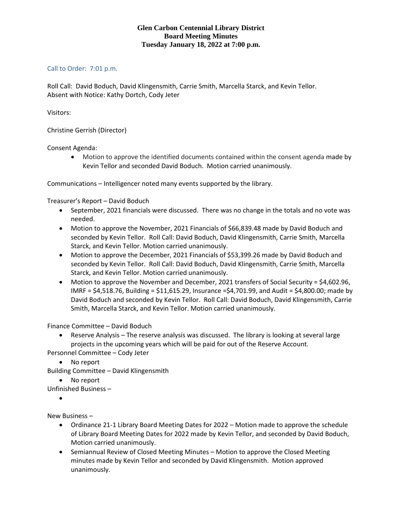## **Glen Carbon Centennial Library District Board Meeting Minutes Tuesday January 18, 2022 at 7:00 p.m.**

## Call to Order: 7:01 p.m.

Roll Call: David Boduch, David Klingensmith, Carrie Smith, Marcella Starck, and Kevin Tellor. Absent with Notice: Kathy Dortch, Cody Jeter

Visitors:

Christine Gerrish (Director)

Consent Agenda:

• Motion to approve the identified documents contained within the consent agenda made by Kevin Tellor and seconded David Boduch. Motion carried unanimously.

Communications – Intelligencer noted many events supported by the library.

Treasurer's Report – David Boduch

- September, 2021 financials were discussed. There was no change in the totals and no vote was needed.
- Motion to approve the November, 2021 Financials of \$66,839.48 made by David Boduch and seconded by Kevin Tellor. Roll Call: David Boduch, David Klingensmith, Carrie Smith, Marcella Starck, and Kevin Tellor. Motion carried unanimously.
- Motion to approve the December, 2021 Financials of \$53,399.26 made by David Boduch and seconded by Kevin Tellor. Roll Call: David Boduch, David Klingensmith, Carrie Smith, Marcella Starck, and Kevin Tellor. Motion carried unanimously.
- Motion to approve the November and December, 2021 transfers of Social Security = \$4,602.96, IMRF = \$4,518.76, Building = \$11,615.29, Insurance =\$4,701.99, and Audit = \$4,800.00; made by David Boduch and seconded by Kevin Tellor. Roll Call: David Boduch, David Klingensmith, Carrie Smith, Marcella Starck, and Kevin Tellor. Motion carried unanimously.

Finance Committee – David Boduch

• Reserve Analysis – The reserve analysis was discussed. The library is looking at several large projects in the upcoming years which will be paid for out of the Reserve Account.

Personnel Committee – Cody Jeter

• No report

Building Committee – David Klingensmith

• No report

Unfinished Business –

•

New Business –

- Ordinance 21-1 Library Board Meeting Dates for 2022 Motion made to approve the schedule of Library Board Meeting Dates for 2022 made by Kevin Tellor, and seconded by David Boduch, Motion carried unanimously.
- Semiannual Review of Closed Meeting Minutes Motion to approve the Closed Meeting minutes made by Kevin Tellor and seconded by David Klingensmith. Motion approved unanimously.